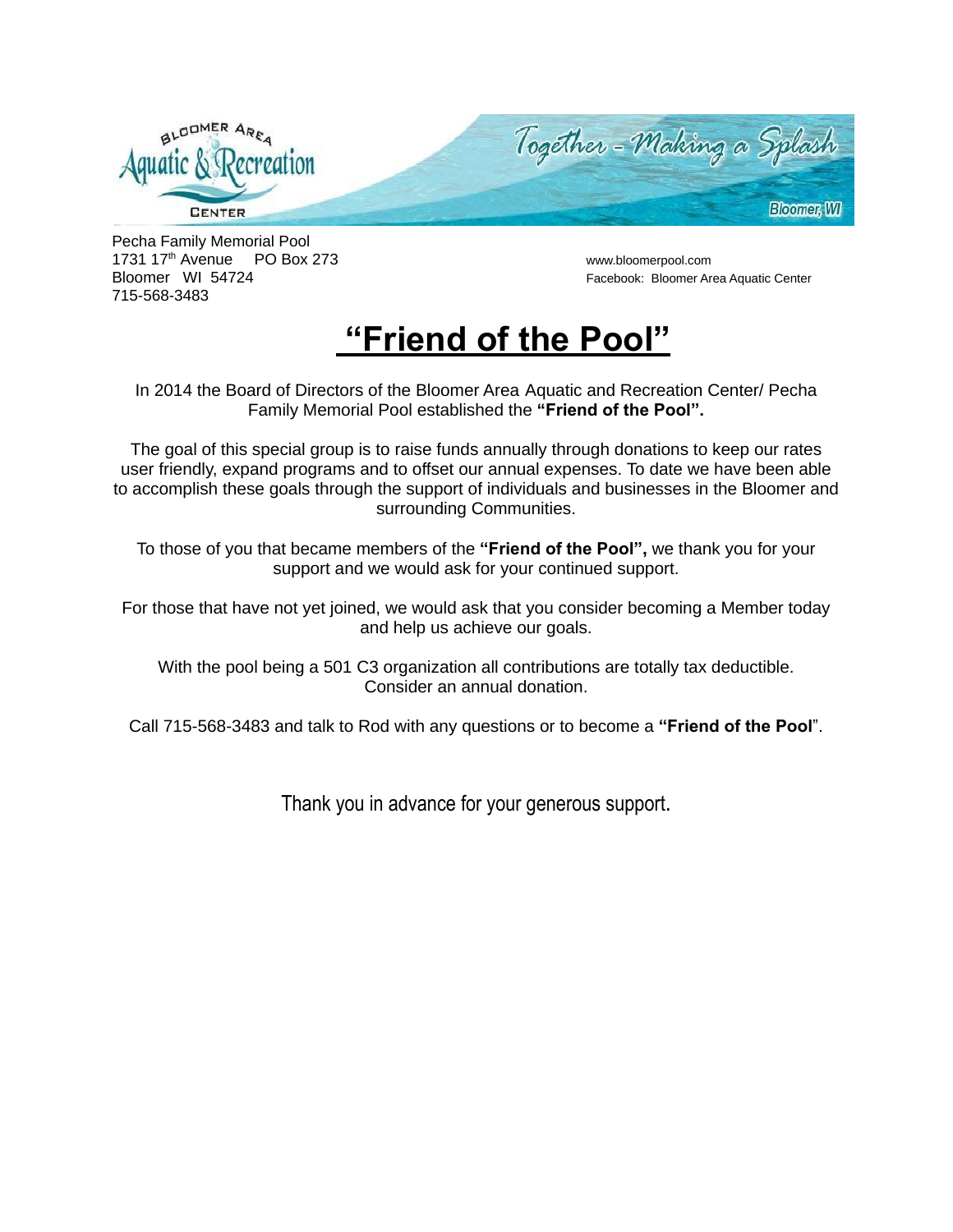

Pecha Family Memorial Pool 1731 17 th Avenue PO Box 273 www.bloomerpool.com Bloomer WI 54724 Facebook: Bloomer Area Aquatic Center 715-568-3483

## **"Friend of the Pool"**

In 2014 the Board of Directors of the Bloomer Area Aquatic and Recreation Center/ Pecha Family Memorial Pool established the **"Friend of the Pool".**

The goal of this special group is to raise funds annually through donations to keep our rates user friendly, expand programs and to offset our annual expenses. To date we have been able to accomplish these goals through the support of individuals and businesses in the Bloomer and surrounding Communities.

To those of you that became members of the **"Friend of the Pool",** we thank you for your support and we would ask for your continued support.

For those that have not yet joined, we would ask that you consider becoming a Member today and help us achieve our goals.

With the pool being a 501 C3 organization all contributions are totally tax deductible. Consider an annual donation.

Call 715-568-3483 and talk to Rod with any questions or to become a **"Friend of the Pool**".

Thank you in advance for your generous support.